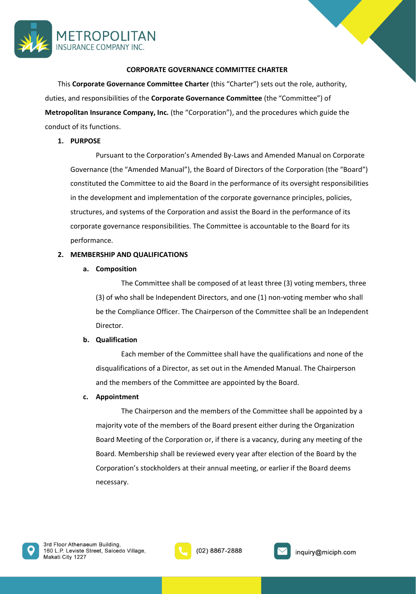

### **CORPORATE GOVERNANCE COMMITTEE CHARTER**

This **Corporate Governance Committee Charter** (this "Charter") sets out the role, authority, duties, and responsibilities of the **Corporate Governance Committee** (the "Committee") of **Metropolitan Insurance Company, Inc.** (the "Corporation"), and the procedures which guide the conduct of its functions.

### **1. PURPOSE**

Pursuant to the Corporation's Amended By-Laws and Amended Manual on Corporate Governance (the "Amended Manual"), the Board of Directors of the Corporation (the "Board") constituted the Committee to aid the Board in the performance of its oversight responsibilities in the development and implementation of the corporate governance principles, policies, structures, and systems of the Corporation and assist the Board in the performance of its corporate governance responsibilities. The Committee is accountable to the Board for its performance.

### **2. MEMBERSHIP AND QUALIFICATIONS**

### **a. Composition**

The Committee shall be composed of at least three (3) voting members, three (3) of who shall be Independent Directors, and one (1) non-voting member who shall be the Compliance Officer. The Chairperson of the Committee shall be an Independent Director.

### **b. Qualification**

Each member of the Committee shall have the qualifications and none of the disqualifications of a Director, as set out in the Amended Manual. The Chairperson and the members of the Committee are appointed by the Board.

### **c. Appointment**

The Chairperson and the members of the Committee shall be appointed by a majority vote of the members of the Board present either during the Organization Board Meeting of the Corporation or, if there is a vacancy, during any meeting of the Board. Membership shall be reviewed every year after election of the Board by the Corporation's stockholders at their annual meeting, or earlier if the Board deems necessary.





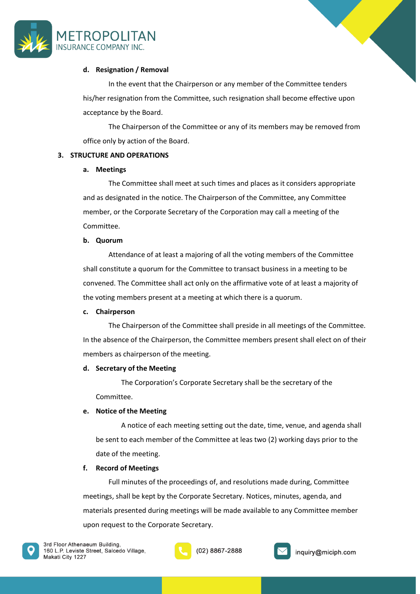



# **d. Resignation / Removal**

In the event that the Chairperson or any member of the Committee tenders his/her resignation from the Committee, such resignation shall become effective upon acceptance by the Board.

The Chairperson of the Committee or any of its members may be removed from office only by action of the Board.

# **3. STRUCTURE AND OPERATIONS**

### **a. Meetings**

The Committee shall meet at such times and places as it considers appropriate and as designated in the notice. The Chairperson of the Committee, any Committee member, or the Corporate Secretary of the Corporation may call a meeting of the Committee.

### **b. Quorum**

Attendance of at least a majoring of all the voting members of the Committee shall constitute a quorum for the Committee to transact business in a meeting to be convened. The Committee shall act only on the affirmative vote of at least a majority of the voting members present at a meeting at which there is a quorum.

### **c. Chairperson**

The Chairperson of the Committee shall preside in all meetings of the Committee. In the absence of the Chairperson, the Committee members present shall elect on of their members as chairperson of the meeting.

# **d. Secretary of the Meeting**

The Corporation's Corporate Secretary shall be the secretary of the Committee.

# **e. Notice of the Meeting**

A notice of each meeting setting out the date, time, venue, and agenda shall be sent to each member of the Committee at leas two (2) working days prior to the date of the meeting.

### **f. Record of Meetings**

Full minutes of the proceedings of, and resolutions made during, Committee meetings, shall be kept by the Corporate Secretary. Notices, minutes, agenda, and materials presented during meetings will be made available to any Committee member upon request to the Corporate Secretary.





(02) 8867-2888

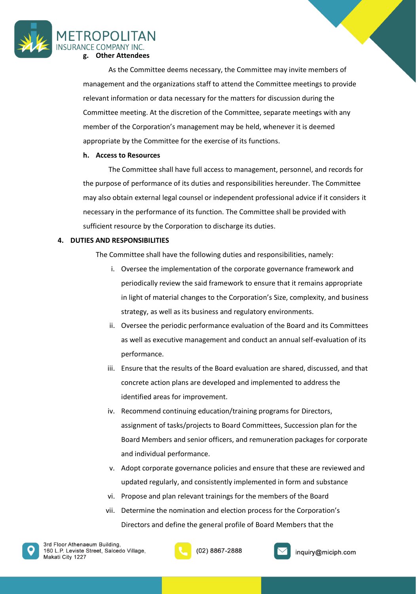

As the Committee deems necessary, the Committee may invite members of management and the organizations staff to attend the Committee meetings to provide relevant information or data necessary for the matters for discussion during the Committee meeting. At the discretion of the Committee, separate meetings with any member of the Corporation's management may be held, whenever it is deemed appropriate by the Committee for the exercise of its functions.

### **h. Access to Resources**

The Committee shall have full access to management, personnel, and records for the purpose of performance of its duties and responsibilities hereunder. The Committee may also obtain external legal counsel or independent professional advice if it considers it necessary in the performance of its function. The Committee shall be provided with sufficient resource by the Corporation to discharge its duties.

### **4. DUTIES AND RESPONSIBILITIES**

The Committee shall have the following duties and responsibilities, namely:

- i. Oversee the implementation of the corporate governance framework and periodically review the said framework to ensure that it remains appropriate in light of material changes to the Corporation's Size, complexity, and business strategy, as well as its business and regulatory environments.
- ii. Oversee the periodic performance evaluation of the Board and its Committees as well as executive management and conduct an annual self-evaluation of its performance.
- iii. Ensure that the results of the Board evaluation are shared, discussed, and that concrete action plans are developed and implemented to address the identified areas for improvement.
- iv. Recommend continuing education/training programs for Directors, assignment of tasks/projects to Board Committees, Succession plan for the Board Members and senior officers, and remuneration packages for corporate and individual performance.
- v. Adopt corporate governance policies and ensure that these are reviewed and updated regularly, and consistently implemented in form and substance
- vi. Propose and plan relevant trainings for the members of the Board
- vii. Determine the nomination and election process for the Corporation's Directors and define the general profile of Board Members that the





(02) 8867-2888

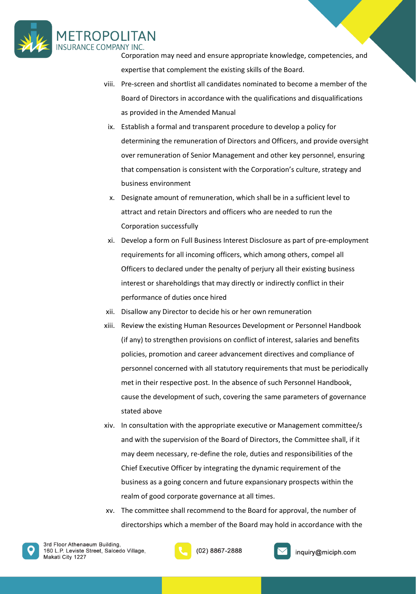

Corporation may need and ensure appropriate knowledge, competencies, and expertise that complement the existing skills of the Board.

- viii. Pre-screen and shortlist all candidates nominated to become a member of the Board of Directors in accordance with the qualifications and disqualifications as provided in the Amended Manual
- ix. Establish a formal and transparent procedure to develop a policy for determining the remuneration of Directors and Officers, and provide oversight over remuneration of Senior Management and other key personnel, ensuring that compensation is consistent with the Corporation's culture, strategy and business environment
- x. Designate amount of remuneration, which shall be in a sufficient level to attract and retain Directors and officers who are needed to run the Corporation successfully
- xi. Develop a form on Full Business Interest Disclosure as part of pre-employment requirements for all incoming officers, which among others, compel all Officers to declared under the penalty of perjury all their existing business interest or shareholdings that may directly or indirectly conflict in their performance of duties once hired
- xii. Disallow any Director to decide his or her own remuneration
- xiii. Review the existing Human Resources Development or Personnel Handbook (if any) to strengthen provisions on conflict of interest, salaries and benefits policies, promotion and career advancement directives and compliance of personnel concerned with all statutory requirements that must be periodically met in their respective post. In the absence of such Personnel Handbook, cause the development of such, covering the same parameters of governance stated above
- xiv. In consultation with the appropriate executive or Management committee/s and with the supervision of the Board of Directors, the Committee shall, if it may deem necessary, re-define the role, duties and responsibilities of the Chief Executive Officer by integrating the dynamic requirement of the business as a going concern and future expansionary prospects within the realm of good corporate governance at all times.
- xv. The committee shall recommend to the Board for approval, the number of directorships which a member of the Board may hold in accordance with the





(02) 8867-2888

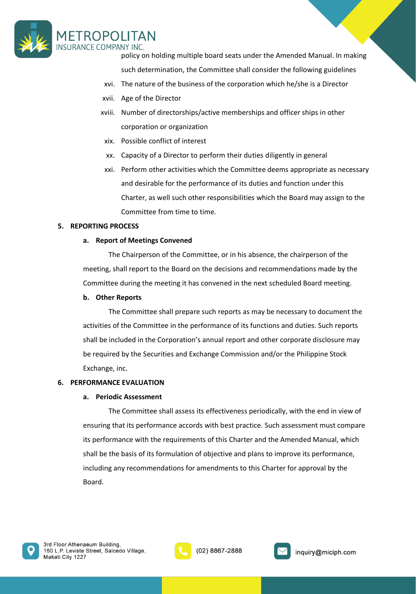

policy on holding multiple board seats under the Amended Manual. In making such determination, the Committee shall consider the following guidelines

- xvi. The nature of the business of the corporation which he/she is a Director
- xvii. Age of the Director
- xviii. Number of directorships/active memberships and officer ships in other corporation or organization
- xix. Possible conflict of interest
- xx. Capacity of a Director to perform their duties diligently in general
- xxi. Perform other activities which the Committee deems appropriate as necessary and desirable for the performance of its duties and function under this Charter, as well such other responsibilities which the Board may assign to the Committee from time to time.

### **5. REPORTING PROCESS**

### **a. Report of Meetings Convened**

The Chairperson of the Committee, or in his absence, the chairperson of the meeting, shall report to the Board on the decisions and recommendations made by the Committee during the meeting it has convened in the next scheduled Board meeting.

#### **b. Other Reports**

The Committee shall prepare such reports as may be necessary to document the activities of the Committee in the performance of its functions and duties. Such reports shall be included in the Corporation's annual report and other corporate disclosure may be required by the Securities and Exchange Commission and/or the Philippine Stock Exchange, inc.

### **6. PERFORMANCE EVALUATION**

### **a. Periodic Assessment**

The Committee shall assess its effectiveness periodically, with the end in view of ensuring that its performance accords with best practice. Such assessment must compare its performance with the requirements of this Charter and the Amended Manual, which shall be the basis of its formulation of objective and plans to improve its performance, including any recommendations for amendments to this Charter for approval by the Board.